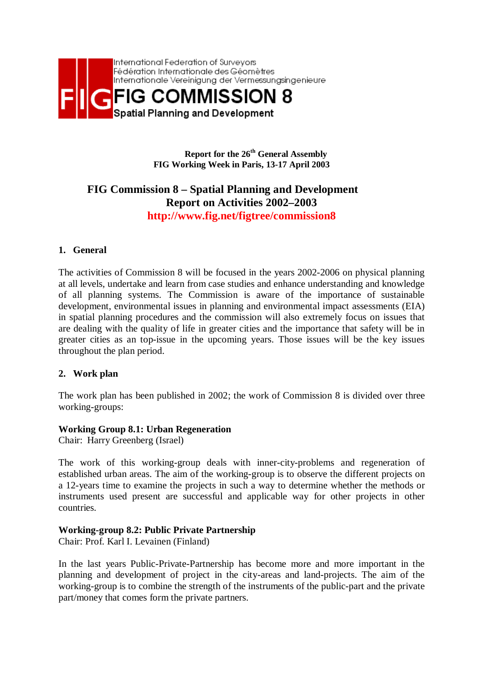

**Report for the 26th General Assembly FIG Working Week in Paris, 13-17 April 2003** 

# **FIG Commission 8 – Spatial Planning and Development Report on Activities 2002–2003 http://www.fig.net/figtree/commission8**

## **1. General**

The activities of Commission 8 will be focused in the years 2002-2006 on physical planning at all levels, undertake and learn from case studies and enhance understanding and knowledge of all planning systems. The Commission is aware of the importance of sustainable development, environmental issues in planning and environmental impact assessments (EIA) in spatial planning procedures and the commission will also extremely focus on issues that are dealing with the quality of life in greater cities and the importance that safety will be in greater cities as an top-issue in the upcoming years. Those issues will be the key issues throughout the plan period.

#### **2. Work plan**

The work plan has been published in 2002; the work of Commission 8 is divided over three working-groups:

#### **Working Group 8.1: Urban Regeneration**

Chair: Harry Greenberg (Israel)

The work of this working-group deals with inner-city-problems and regeneration of established urban areas. The aim of the working-group is to observe the different projects on a 12-years time to examine the projects in such a way to determine whether the methods or instruments used present are successful and applicable way for other projects in other countries.

#### **Working-group 8.2: Public Private Partnership**

Chair: Prof. Karl I. Levainen (Finland)

In the last years Public-Private-Partnership has become more and more important in the planning and development of project in the city-areas and land-projects. The aim of the working-group is to combine the strength of the instruments of the public-part and the private part/money that comes form the private partners.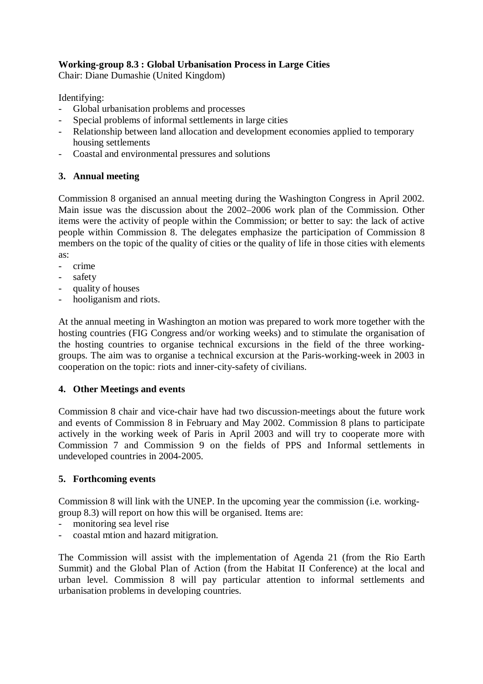# **Working-group 8.3 : Global Urbanisation Process in Large Cities**

Chair: Diane Dumashie (United Kingdom)

Identifying:

- Global urbanisation problems and processes
- Special problems of informal settlements in large cities
- Relationship between land allocation and development economies applied to temporary housing settlements
- Coastal and environmental pressures and solutions

# **3. Annual meeting**

Commission 8 organised an annual meeting during the Washington Congress in April 2002. Main issue was the discussion about the 2002–2006 work plan of the Commission. Other items were the activity of people within the Commission; or better to say: the lack of active people within Commission 8. The delegates emphasize the participation of Commission 8 members on the topic of the quality of cities or the quality of life in those cities with elements as:

- crime
- safety
- quality of houses
- hooliganism and riots.

At the annual meeting in Washington an motion was prepared to work more together with the hosting countries (FIG Congress and/or working weeks) and to stimulate the organisation of the hosting countries to organise technical excursions in the field of the three workinggroups. The aim was to organise a technical excursion at the Paris-working-week in 2003 in cooperation on the topic: riots and inner-city-safety of civilians.

## **4. Other Meetings and events**

Commission 8 chair and vice-chair have had two discussion-meetings about the future work and events of Commission 8 in February and May 2002. Commission 8 plans to participate actively in the working week of Paris in April 2003 and will try to cooperate more with Commission 7 and Commission 9 on the fields of PPS and Informal settlements in undeveloped countries in 2004-2005.

## **5. Forthcoming events**

Commission 8 will link with the UNEP. In the upcoming year the commission (i.e. workinggroup 8.3) will report on how this will be organised. Items are:

- monitoring sea level rise
- coastal mtion and hazard mitigration.

The Commission will assist with the implementation of Agenda 21 (from the Rio Earth Summit) and the Global Plan of Action (from the Habitat II Conference) at the local and urban level. Commission 8 will pay particular attention to informal settlements and urbanisation problems in developing countries.